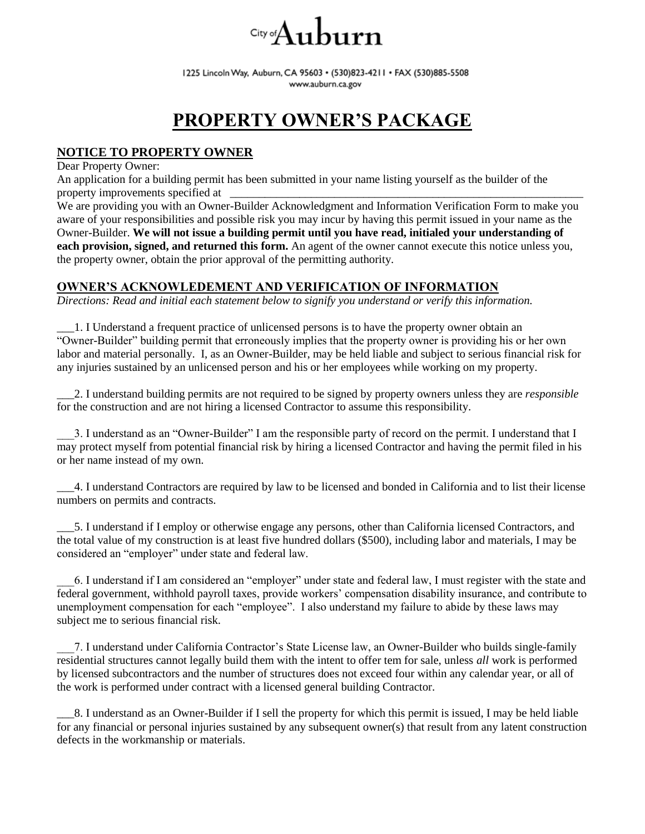# $\mathcal{L}_{\text{city}}$ oi $\mathbf{A}$ uburn

1225 Lincoln Way, Auburn, CA 95603 · (530)823-4211 · FAX (530)885-5508 www.auburn.ca.gov

## **PROPERTY OWNER'S PACKAGE**

### **NOTICE TO PROPERTY OWNER**

Dear Property Owner:

An application for a building permit has been submitted in your name listing yourself as the builder of the property improvements specified at

We are providing you with an Owner-Builder Acknowledgment and Information Verification Form to make you aware of your responsibilities and possible risk you may incur by having this permit issued in your name as the Owner-Builder. **We will not issue a building permit until you have read, initialed your understanding of each provision, signed, and returned this form.** An agent of the owner cannot execute this notice unless you, the property owner, obtain the prior approval of the permitting authority.

#### **OWNER'S ACKNOWLEDEMENT AND VERIFICATION OF INFORMATION**

*Directions: Read and initial each statement below to signify you understand or verify this information.*

\_\_\_1. I Understand a frequent practice of unlicensed persons is to have the property owner obtain an "Owner-Builder" building permit that erroneously implies that the property owner is providing his or her own labor and material personally. I, as an Owner-Builder, may be held liable and subject to serious financial risk for any injuries sustained by an unlicensed person and his or her employees while working on my property.

\_\_\_2. I understand building permits are not required to be signed by property owners unless they are *responsible* for the construction and are not hiring a licensed Contractor to assume this responsibility.

3. I understand as an "Owner-Builder" I am the responsible party of record on the permit. I understand that I may protect myself from potential financial risk by hiring a licensed Contractor and having the permit filed in his or her name instead of my own.

\_\_\_4. I understand Contractors are required by law to be licensed and bonded in California and to list their license numbers on permits and contracts.

\_\_\_5. I understand if I employ or otherwise engage any persons, other than California licensed Contractors, and the total value of my construction is at least five hundred dollars (\$500), including labor and materials, I may be considered an "employer" under state and federal law.

\_\_\_6. I understand if I am considered an "employer" under state and federal law, I must register with the state and federal government, withhold payroll taxes, provide workers' compensation disability insurance, and contribute to unemployment compensation for each "employee". I also understand my failure to abide by these laws may subject me to serious financial risk.

\_\_\_7. I understand under California Contractor's State License law, an Owner-Builder who builds single-family residential structures cannot legally build them with the intent to offer tem for sale, unless *all* work is performed by licensed subcontractors and the number of structures does not exceed four within any calendar year, or all of the work is performed under contract with a licensed general building Contractor.

\_\_\_8. I understand as an Owner-Builder if I sell the property for which this permit is issued, I may be held liable for any financial or personal injuries sustained by any subsequent owner(s) that result from any latent construction defects in the workmanship or materials.